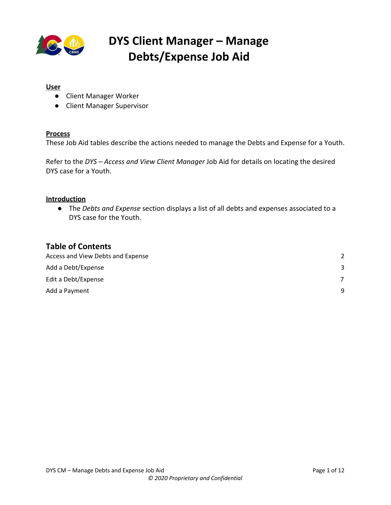

#### **User**

- Client Manager Worker
- Client Manager Supervisor

#### **Process**

These Job Aid tables describe the actions needed to manage the Debts and Expense for a Youth.

Refer to the *DYS – Access and View Client Manager* Job Aid for details on locating the desired DYS case for a Youth.

#### **Introduction**

● The *Debts and Expense* section displays a list of all debts and expenses associated to a DYS case for the Youth.

#### **Table of Contents**

| Access and View Debts and Expense |   |
|-----------------------------------|---|
| Add a Debt/Expense                | 3 |
| Edit a Debt/Expense               |   |
| Add a Payment                     | q |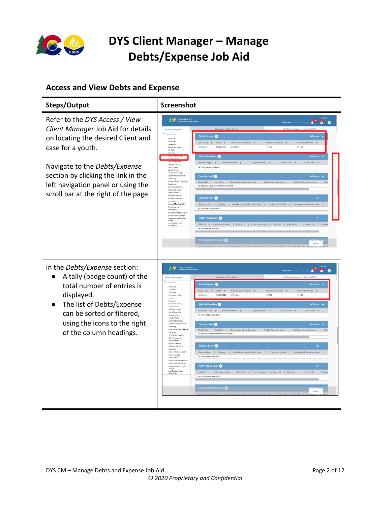

#### <span id="page-1-0"></span>**Access and View Debts and Expense**

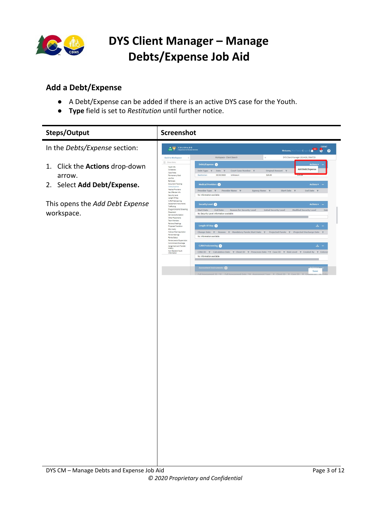

#### <span id="page-2-0"></span>**Add a Debt/Expense**

- A Debt/Expense can be added if there is an active DYS case for the Youth.
- **Type** field is set to *Restitution* until further notice.

| <b>Steps/Output</b>                                                           | Screenshot                                                                                                                                                                                                                                                                                                                                                                                                                                                                 |                                                                                                                                                                                                                                                                                                                                                                                                                                                                                                                                                                                                                                                                                                                                                                                                                                                                                                                            |                                                                                                                                                                      |
|-------------------------------------------------------------------------------|----------------------------------------------------------------------------------------------------------------------------------------------------------------------------------------------------------------------------------------------------------------------------------------------------------------------------------------------------------------------------------------------------------------------------------------------------------------------------|----------------------------------------------------------------------------------------------------------------------------------------------------------------------------------------------------------------------------------------------------------------------------------------------------------------------------------------------------------------------------------------------------------------------------------------------------------------------------------------------------------------------------------------------------------------------------------------------------------------------------------------------------------------------------------------------------------------------------------------------------------------------------------------------------------------------------------------------------------------------------------------------------------------------------|----------------------------------------------------------------------------------------------------------------------------------------------------------------------|
| In the Debts/Expense section:                                                 | COLORADO                                                                                                                                                                                                                                                                                                                                                                                                                                                                   |                                                                                                                                                                                                                                                                                                                                                                                                                                                                                                                                                                                                                                                                                                                                                                                                                                                                                                                            | Welcome, Mod Test14 (Logout) <b>4 200 10 CYFMT</b>                                                                                                                   |
| Click the Actions drop-down<br>1.<br>arrow.<br>Select Add Debt/Expense.<br>2. | <b>Back to Workspace</b><br>$\hat{C}$<br>$\equiv$ Show M<br>Youth Info<br>Collaberals<br>Case Notes<br>Permanency Goal<br>15 of 22<br>Removals<br>Document Tracking<br>Debts/Expense<br>Medical Providers<br>Sex Offender Info                                                                                                                                                                                                                                             | Workspace - Client Search<br>Debts/Expense<br>Debt Type $\ \gamma$ Date $\ \gamma$ Court Case Number $\ \gamma$<br>03/23/2020<br>Restitution<br>Unknown<br>Medical Providers<br>Provider Type $\tau$ Provider Name $\tau$<br>Agency Name T                                                                                                                                                                                                                                                                                                                                                                                                                                                                                                                                                                                                                                                                                 | DYS Client Manager 1914426, 3566725<br>$\times$<br>Actio<br>Add Debt/Expense<br>Original Amount T<br>\$20.00<br>Actions $\mathbf{v}$ –<br>Start Date T<br>End Date T |
| This opens the Add Debt Expense<br>workspace.                                 | Security Level<br>Length Of Stay<br>CJRA PreScreening<br>Assessment Instruments<br>Trafficking<br>Drug and Alcohol Screening<br>Placement<br>Service Authorization<br>Other Placements<br><b>Team Members</b><br>Reviews/Meetings<br>Projected Transition<br>EDU Notify<br>Notice of Services Action<br>Parole Hearings<br>Parole Status<br>Parole Level of Supervision<br>Commitment Discharge<br>Assignment and Transfer<br>History<br>Non-Resident Youth<br>Information | No information available<br>Security Level @<br>Start Date End Date Reason for Security Level<br>No Security Level information available<br>Length Of Stay<br>$\label{thm:changeDate} \text{Change Date} \quad \overline{\gamma} \quad \text{Reason} \quad \overline{\gamma} \quad \text{Mandatory Parole Start Date} \quad \overline{\gamma} \quad \text{Projected Parole} \quad \overline{\gamma} \quad \text{Projected Discharge Date}$<br>No information available<br><b>CJRA PreScreening</b><br>$\text{CIRA ID} \quad \text{$\uparrow$} \quad \text{Calculation Date} \quad \text{$\uparrow$} \quad \text{Client ID} \quad \text{$\uparrow$} \quad \text{Present Date} \quad \text{$\uparrow$} \quad \text{Case ID} \quad \text{$\uparrow$} \quad \text{Risk Level} \quad \text{$\uparrow$} \quad \text{Create By} \quad \text{$\uparrow$} \quad \text{Enter}$<br>No information available<br>Assessment Instruments | Actions v<br>Initial Security Level<br>Modified Security Level<br>Dat<br>医<br>$\overline{\mathbf{r}}$<br>医。<br>Save                                                  |
|                                                                               |                                                                                                                                                                                                                                                                                                                                                                                                                                                                            |                                                                                                                                                                                                                                                                                                                                                                                                                                                                                                                                                                                                                                                                                                                                                                                                                                                                                                                            |                                                                                                                                                                      |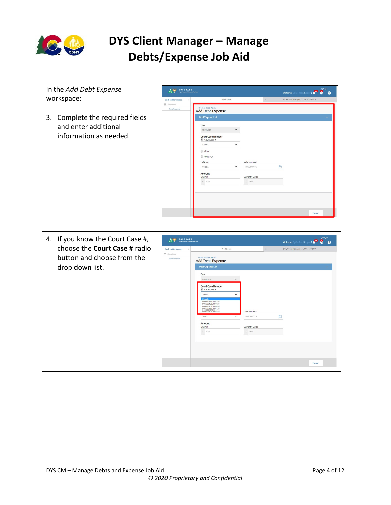

| In the Add Debt Expense<br>workspace:                                                                              | CO PIPERING<br><b>Back to Workspace</b>                                    | <b>CYFMT</b><br>Welcome, Cgi Qa Test5 (Logout)<br>e.<br>െ<br>Workspace<br>DYS Client Manager 1713975, 1802379                                                                                                                                                                                                                                                                                                                                                                                                              |  |
|--------------------------------------------------------------------------------------------------------------------|----------------------------------------------------------------------------|----------------------------------------------------------------------------------------------------------------------------------------------------------------------------------------------------------------------------------------------------------------------------------------------------------------------------------------------------------------------------------------------------------------------------------------------------------------------------------------------------------------------------|--|
|                                                                                                                    | $\equiv$ Show Menu<br>Dabts/Expenses                                       | < Back to Case Details                                                                                                                                                                                                                                                                                                                                                                                                                                                                                                     |  |
| 3. Complete the required fields<br>and enter additional<br>information as needed.                                  |                                                                            | <b>Add Debt Expense</b><br>Debt/Expense List<br>Type<br>Restitution<br>$\check{~}$<br><b>Court Case Number</b><br>Court Case #<br>Select.<br>$\check{~}$<br>O Other<br>Unknown<br>To Whom<br>Date Incurred<br>門<br>$\checkmark$<br>Select.<br>MMDD/YYYY<br>Amount<br>Currently Owed<br>Original<br>$\begin{array}{ c c c } \hline \texttt{S} & \texttt{0.00} \\\hline \end{array}$<br>$S = 0.00$<br>Save                                                                                                                   |  |
| 4. If you know the Court Case #,<br>choose the Court Case # radio<br>button and choose from the<br>drop down list. | $\frac{1}{100}$<br><b>Back to Workspace</b><br>Show Menu<br>Dabts/Expenses | Welcome, Califests (Logout) <b>4<sup>22</sup> COVEMT</b><br>DYS Client Manager 1713975, 1802379<br>Workspace<br>< Back to Case Details<br><b>Add Debt Expense</b><br>Debt/Expense List<br>Type<br>$\check{~}$<br>Restitution<br><b>Court Case Number</b><br>Court Case #<br>Select.<br>$\check{ }$<br>D0032017JD000795<br>D0692016JD000820<br>D0692016JD000044<br>D0692016JD000420<br>Date Incurred<br>₿<br>Select.<br>$\checkmark$<br>MMDD/YYYY<br>Amount<br>Currently Owed<br>Original<br>5   0.00<br>$S = 0.00$<br>Save |  |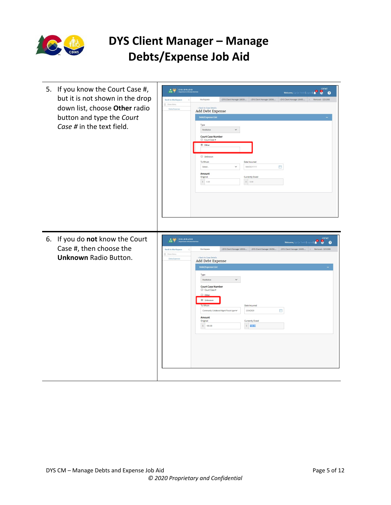

| 5. If you know the Court Case #,<br>but it is not shown in the drop<br>down list, choose Other radio<br>button and type the Court<br>Case # in the text field. | <b>CYFMT</b><br>$\begin{array}{c c c c c} \hline \textbf{A} & \textbf{0} & \textbf{0} & \textbf{0} \\ \hline \textbf{CO} & \textbf{0} & \textbf{0} & \textbf{0} \\ \hline \textbf{O} & \textbf{0} & \textbf{0} & \textbf{0} \end{array}$<br>8 <sub>o</sub><br>$\mathbf{r}$<br>Welcome, Cgi Qa Test5 (Log<br><b>Back to Workspace</b><br>Workspace<br>DYS Client Manager 18539<br>>DYS Client Manager 18056 >DYS Client Manager 18495<br>Removal - 3251588<br>$\epsilon$<br>$\equiv$ Show Menu<br>< Back to Case Details<br>Debts/Expenses<br>Add Debt Expense<br>Debt/Expense List<br>Type<br>$\check{ }$<br>Restitution<br><b>Court Case Number</b><br>Court Case #<br>(a) Other<br>Unknown<br>To Whom<br>Date Incurred<br>$\overline{\Box}$<br>$\check{~}$<br>MMDD/YYYY<br>Select<br>Amount<br>Currently Owed<br>Original<br>$\sqrt{5}$ = 0.00<br>$\sqrt{5}$ 0.00 |
|----------------------------------------------------------------------------------------------------------------------------------------------------------------|---------------------------------------------------------------------------------------------------------------------------------------------------------------------------------------------------------------------------------------------------------------------------------------------------------------------------------------------------------------------------------------------------------------------------------------------------------------------------------------------------------------------------------------------------------------------------------------------------------------------------------------------------------------------------------------------------------------------------------------------------------------------------------------------------------------------------------------------------------------------|
| 6. If you do not know the Court<br>Case #, then choose the<br><b>Unknown Radio Button.</b>                                                                     | <b>CYFMT</b><br>$\begin{array}{c c c c c} \hline \textbf{A} & \textbf{Com} & \textbf{COLORADO} \\ \hline \textbf{CO} & \textbf{V} & \textbf{Delectric} & \textbf{H} \end{array}$<br>Welcome, Cgi Qa Test5 (Logout)<br>$\bullet$ $\bullet$<br>>DYS Client Manager 18539 >DYS Client Manager 18056 >DYS Client Manager 18495<br>Workspace<br>Removal - 3251588<br><b>Back to Workspace</b><br>$\equiv$ Show Menu<br>< Back to Case Details<br>Debts/Expenses<br><b>Add Debt Expense</b><br>Debt/Expense List<br>Type<br>Restitution<br>$\check{~}$<br><b>Court Case Number</b><br>Court Case #<br>O Other<br><b>Unknown</b><br>To Whom<br>Date Incurred<br>曲<br>Community Collaborat Mgmt Fiscal Ager<br>2/24/2020<br>Amount<br>Currently Owed<br>Original<br>\$100.00<br>$S = 100.00$                                                                                |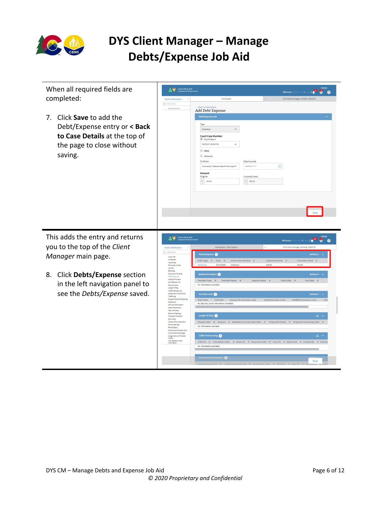

| When all required fields are<br><b>CYFMT</b><br>CO COLORADO<br>8<br>$\mathbf{0}$<br>Welcome, Cgi Qa Test5 (Log<br>completed:<br>Workspace<br>DYS Client Manager 1713975, 1802379<br><b>Back to Workspace</b><br>$\equiv$ Show Menu<br>< Back to Case Details<br>Debts/Expenses<br>Add Debt Expense<br>Click Save to add the<br>Debt/Expense List<br>$7_{\cdot}$<br>Type<br>Debt/Expense entry or < Back<br>Restitution<br>$\check{~}$ | $\boldsymbol{Q}$                                                     |                                                                                                  |                |                                                                                                                                                              |
|---------------------------------------------------------------------------------------------------------------------------------------------------------------------------------------------------------------------------------------------------------------------------------------------------------------------------------------------------------------------------------------------------------------------------------------|----------------------------------------------------------------------|--------------------------------------------------------------------------------------------------|----------------|--------------------------------------------------------------------------------------------------------------------------------------------------------------|
|                                                                                                                                                                                                                                                                                                                                                                                                                                       |                                                                      |                                                                                                  |                |                                                                                                                                                              |
|                                                                                                                                                                                                                                                                                                                                                                                                                                       |                                                                      |                                                                                                  |                |                                                                                                                                                              |
|                                                                                                                                                                                                                                                                                                                                                                                                                                       |                                                                      |                                                                                                  |                |                                                                                                                                                              |
|                                                                                                                                                                                                                                                                                                                                                                                                                                       |                                                                      |                                                                                                  |                |                                                                                                                                                              |
|                                                                                                                                                                                                                                                                                                                                                                                                                                       |                                                                      |                                                                                                  |                |                                                                                                                                                              |
| to Case Details at the top of                                                                                                                                                                                                                                                                                                                                                                                                         |                                                                      | <b>Court Case Number</b><br>Court Case #                                                         |                |                                                                                                                                                              |
| the page to close without                                                                                                                                                                                                                                                                                                                                                                                                             |                                                                      | D0032017JD000795<br>$\check{~}$                                                                  |                |                                                                                                                                                              |
| saving.                                                                                                                                                                                                                                                                                                                                                                                                                               |                                                                      | O Other<br>Unknown                                                                               |                |                                                                                                                                                              |
|                                                                                                                                                                                                                                                                                                                                                                                                                                       |                                                                      | To Whom                                                                                          | Date Incurred  |                                                                                                                                                              |
|                                                                                                                                                                                                                                                                                                                                                                                                                                       |                                                                      | Community Collaborat Mgmt Fiscal Ager                                                            | MMDD/YYYY      | 自                                                                                                                                                            |
|                                                                                                                                                                                                                                                                                                                                                                                                                                       |                                                                      | Amount<br>Original                                                                               | Currently Owed |                                                                                                                                                              |
|                                                                                                                                                                                                                                                                                                                                                                                                                                       |                                                                      | $5 - 100.00$                                                                                     | $S = 100.00$   |                                                                                                                                                              |
|                                                                                                                                                                                                                                                                                                                                                                                                                                       |                                                                      |                                                                                                  |                |                                                                                                                                                              |
|                                                                                                                                                                                                                                                                                                                                                                                                                                       |                                                                      |                                                                                                  |                |                                                                                                                                                              |
|                                                                                                                                                                                                                                                                                                                                                                                                                                       |                                                                      |                                                                                                  |                |                                                                                                                                                              |
|                                                                                                                                                                                                                                                                                                                                                                                                                                       |                                                                      |                                                                                                  |                |                                                                                                                                                              |
|                                                                                                                                                                                                                                                                                                                                                                                                                                       |                                                                      |                                                                                                  |                |                                                                                                                                                              |
|                                                                                                                                                                                                                                                                                                                                                                                                                                       |                                                                      |                                                                                                  |                |                                                                                                                                                              |
| This adds the entry and returns                                                                                                                                                                                                                                                                                                                                                                                                       | CO COLORADO                                                          |                                                                                                  |                | <b>CYFMT</b><br>$\frac{1}{2}$<br>$\bullet$ $\bullet$<br>Welcome, Mod Test14 (Lo                                                                              |
| you to the top of the Client                                                                                                                                                                                                                                                                                                                                                                                                          | <b>Back to Workspace</b>                                             | Workspace - Client Search                                                                        |                | DYS Client Manager 1914426, 3566725                                                                                                                          |
| Manager main page.                                                                                                                                                                                                                                                                                                                                                                                                                    | = Show Me<br>Youth Info                                              | Debts/Expense                                                                                    |                | <b>Actions v</b>                                                                                                                                             |
|                                                                                                                                                                                                                                                                                                                                                                                                                                       | Collaterals<br>Case Notes<br>Permanency Goal                         | Debt Type <b>T</b><br>Date<br>Court Case Number <b>T</b><br>03/23/2020<br>Unknown<br>Restitution | \$20.00        | Original Amount T<br>Currently Owed<br>\$15.00                                                                                                               |
|                                                                                                                                                                                                                                                                                                                                                                                                                                       | 15 of 22<br>Removals                                                 |                                                                                                  |                |                                                                                                                                                              |
| Click Debts/Expense section<br>8.                                                                                                                                                                                                                                                                                                                                                                                                     | Document Tracking<br>Debts/Expens<br>Medical Providers               | Medical Providers <sup>O</sup>                                                                   |                | Actions $\sqrt{*}$ -                                                                                                                                         |
| in the left navigation panel to                                                                                                                                                                                                                                                                                                                                                                                                       | Sex Offender Info<br>Security Level                                  | Provider Type $\top$<br>Provider Name <b>T</b><br>No information available                       | Agency Name T  | Start Date<br><b>End Date</b>                                                                                                                                |
| see the Debts/Expense saved.                                                                                                                                                                                                                                                                                                                                                                                                          | Length Of Stay<br>CJRA PreScreening<br>Assessment Instrumer          | Security Level @                                                                                 |                | <b>Actions</b>                                                                                                                                               |
|                                                                                                                                                                                                                                                                                                                                                                                                                                       | Trafficking<br>Drug and Alcoh<br>Placement                           | Start Date End Date<br>Reason for Security Level                                                 |                | <b>Initial Security Level</b><br><b>Modified Security Level</b>                                                                                              |
|                                                                                                                                                                                                                                                                                                                                                                                                                                       | Service Authorizatio<br>Other Placements<br>Team Members             | No Security Level information available                                                          |                |                                                                                                                                                              |
|                                                                                                                                                                                                                                                                                                                                                                                                                                       | Reviews/Meetings<br>Projected Transition                             | Length Of Stay                                                                                   |                | 医                                                                                                                                                            |
|                                                                                                                                                                                                                                                                                                                                                                                                                                       | EDU Notify<br>Notice of Services Action<br>Parole Hearings           |                                                                                                  |                | Change Date Y Reason Y Mandatory Parole Start Date Y Projected Parole Y Projected Discharge Date                                                             |
|                                                                                                                                                                                                                                                                                                                                                                                                                                       | Parole Status<br>Parole Level of Supervision<br>Commitment Discharge | No information available                                                                         |                |                                                                                                                                                              |
|                                                                                                                                                                                                                                                                                                                                                                                                                                       | Assignment and Transfer<br>History                                   | <b>CJRA PreScreening</b>                                                                         |                | – ٹ                                                                                                                                                          |
|                                                                                                                                                                                                                                                                                                                                                                                                                                       | Non-Resident Youth<br>Information                                    | No information available                                                                         |                | CJRA ID $\gamma$ Calculation Date $\gamma$ Client ID $\gamma$ Prescreen Date $\gamma\gamma$ Case ID $\gamma$ Risk Level $\gamma$ Created By $\gamma$ Enteres |
|                                                                                                                                                                                                                                                                                                                                                                                                                                       |                                                                      |                                                                                                  |                |                                                                                                                                                              |
|                                                                                                                                                                                                                                                                                                                                                                                                                                       |                                                                      | Assessment Instruments                                                                           |                | Save                                                                                                                                                         |
|                                                                                                                                                                                                                                                                                                                                                                                                                                       |                                                                      |                                                                                                  |                |                                                                                                                                                              |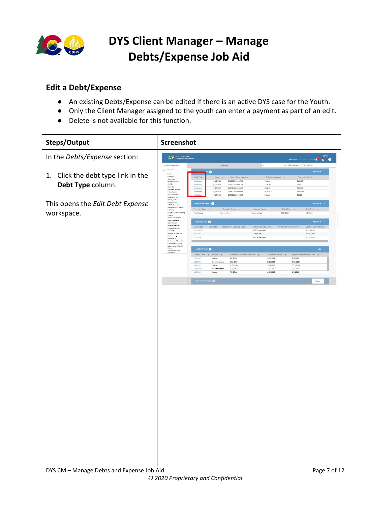

#### <span id="page-6-0"></span>**Edit a Debt/Expense**

- An existing Debts/Expense can be edited if there is an active DYS case for the Youth.
- Only the Client Manager assigned to the youth can enter a payment as part of an edit.
- Delete is not available for this function.

| <b>Steps/Output</b>                   | Screenshot                                                    |                                  |                           |                                         |                               |                                |                                     |                                         |
|---------------------------------------|---------------------------------------------------------------|----------------------------------|---------------------------|-----------------------------------------|-------------------------------|--------------------------------|-------------------------------------|-----------------------------------------|
| In the Debts/Expense section:         | COLORADO                                                      |                                  |                           |                                         |                               |                                | Welcome, Cgi Qa TestS (Logr         | $\bullet$ $\bullet$ $\bullet$ $\bullet$ |
|                                       | <b>Back to Workspace</b><br>$\equiv$ Show M                   |                                  | Workspace                 |                                         |                               |                                | DYS Client Manager 1713975, 1802379 |                                         |
| Click the debt type link in the<br>1. | Youth Info                                                    |                                  | G                         |                                         |                               |                                |                                     | Actions $\mathbf{v} =$                  |
|                                       | Colleterels<br>Case Notes<br>Permanency Goal                  | Debt Type<br>Restitution         | Date $\tau$<br>03/16/2020 | Court Case Number 7<br>D0032017JD000795 |                               | Original Amount \\<br>\$100.00 | \$100.00                            | Currently Owed T                        |
| Debt Type column.                     | 15 of 22<br>Removels                                          | Restitution                      | 03/22/2018                | D0032017JD000795                        |                               | \$128.00                       | \$128.00                            |                                         |
|                                       | <b>Document Tracking</b>                                      | Restitution<br>Restitutio        | 07/19/2016<br>07/19/2016  | D0692016JD000420<br>DORROOS 6 IDOODA4   |                               | \$288.57<br>\$6,578.00         | \$288.57<br>\$6,578.00              |                                         |
|                                       | <b>NetFool Providers</b><br>Sex Offender Info                 |                                  | 07/19/2016                | D0692016JD000395                        |                               | \$63.13                        | \$63.13                             |                                         |
| This opens the Edit Debt Expense      | Security Level<br>Length Of Stay                              | Medical Providers                |                           |                                         |                               |                                |                                     | Actions = -                             |
|                                       | CJRA PreScreening<br>Assessment Instruments<br>Trafficking    | Provider Type $\tau$             |                           | Provider Name #                         | Agency Name T                 |                                | Start Date $\tau$                   | End Date 7                              |
| workspace.                            | Drug and Alcohol Screening<br>Plecement                       | Psychiatrist                     |                           | Libacme Tzzd                            | Cuewme Ulzt                   | 8/26/2016                      |                                     | 9/8/2016                                |
|                                       | Service Authorization<br>Other Placements                     | Security Level <sup>6</sup>      |                           |                                         |                               |                                |                                     | <b>Actions v</b>                        |
|                                       | Team Members<br>Reviews/Meetings                              | Start Date                       |                           | End Date Reason for Security Level      | <b>Initial Security Level</b> |                                | Modified Security Level             | Date of Cor                             |
|                                       | <b>Projected Transition</b><br>EDU Notify                     | 3/29/2018                        |                           |                                         | Staff Supervised              |                                |                                     | 3/22/2018                               |
|                                       | Notice of Services Action<br>Parole Hearings<br>Parole Status | 2/6/2017<br>8/3/2016             |                           |                                         | Community<br>Staff Supervised |                                |                                     | 12/20/2016<br>7/19/2016                 |
|                                       | Parole Level of Supervision<br>Commitment Discharge           |                                  |                           |                                         |                               |                                |                                     |                                         |
|                                       | Assignment and Transfer<br>History                            | Length Of Stay                   |                           |                                         |                               |                                |                                     | 山。                                      |
|                                       | Non-Resident Youth<br>Information                             | Change Date $\tau$ Reason $\tau$ |                           | Mandatory Parole Start Date T           |                               | Projected Parole $\tau$        |                                     | Projected Discharge Date T              |
|                                       |                                                               | 2/17/2019                        | Escape                    | 9/5/2020                                |                               | 3/22/2018                      | 3/5/2021                            |                                         |
|                                       |                                                               | 3/22/2018<br>10/4/2017           | Recommitment<br>Escape    | 3/22/2020<br>11/25/2018                 |                               | 3/22/2019<br>11/5/2016         | 9/22/2020<br>5/25/2019              |                                         |
|                                       |                                                               | 12/20/2016<br>9/16/2016          | Recommitment<br>Escape    | 11/5/2018<br>7/2/2018                   |                               | 11/5/2016<br>6/24/2016         | 5/5/2019<br>1/2/2019                |                                         |
|                                       |                                                               |                                  |                           |                                         |                               |                                |                                     |                                         |
|                                       |                                                               | CJRA PreScreening                |                           |                                         |                               |                                |                                     | Save                                    |
|                                       |                                                               |                                  |                           |                                         |                               |                                |                                     |                                         |
|                                       |                                                               |                                  |                           |                                         |                               |                                |                                     |                                         |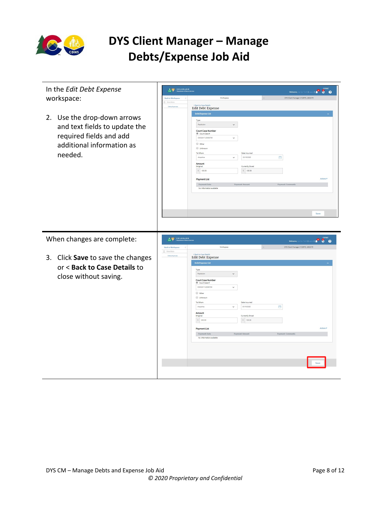

| In the Edit Debt Expense                                                                                                           | $\overline{co}$                                                                                                                                                                                                                                                                                                                                                                                                                                               |                                                                                                                                                                                                                                                                                         |                                                                                 | <b>P</b> 8 8<br>Welcome,<br>$15$ (Le                                                                    |
|------------------------------------------------------------------------------------------------------------------------------------|---------------------------------------------------------------------------------------------------------------------------------------------------------------------------------------------------------------------------------------------------------------------------------------------------------------------------------------------------------------------------------------------------------------------------------------------------------------|-----------------------------------------------------------------------------------------------------------------------------------------------------------------------------------------------------------------------------------------------------------------------------------------|---------------------------------------------------------------------------------|---------------------------------------------------------------------------------------------------------|
| workspace:                                                                                                                         | <b>Back to Workspace</b>                                                                                                                                                                                                                                                                                                                                                                                                                                      | Workspace                                                                                                                                                                                                                                                                               |                                                                                 | DYS Client Manager 1713975, 1802379                                                                     |
|                                                                                                                                    |                                                                                                                                                                                                                                                                                                                                                                                                                                                               | < Back to Case Details<br><b>Edit Debt Expense</b>                                                                                                                                                                                                                                      |                                                                                 |                                                                                                         |
|                                                                                                                                    |                                                                                                                                                                                                                                                                                                                                                                                                                                                               | Debt/Expense List                                                                                                                                                                                                                                                                       |                                                                                 |                                                                                                         |
| Use the drop-down arrows<br>2.<br>and text fields to update the<br>required fields and add<br>additional information as<br>needed. |                                                                                                                                                                                                                                                                                                                                                                                                                                                               | Type<br>$\check{~}$<br>Restitution<br><b>Court Case Number</b><br>Court Case #<br>D0032017JD000795<br>$\check{~}$<br>O Other<br>Unknown<br>To Whom<br>Arapahoe<br>$\checkmark$<br>Amount<br>Original<br>$5 - 100.00$<br><b>Payment List</b><br>Payment Date<br>No information available | Date Incurred<br>03/18/2020<br>Currently Owed<br>$5 - 100.00$<br>Payment Amount | 白<br>Artions <sup>1</sup><br><b>Payment Comments</b>                                                    |
|                                                                                                                                    |                                                                                                                                                                                                                                                                                                                                                                                                                                                               |                                                                                                                                                                                                                                                                                         |                                                                                 | Save                                                                                                    |
| When changes are complete:                                                                                                         | $\begin{array}{c c c c c} \hline \textbf{1} & \textbf{0} & \textbf{0} & \textbf{0} & \textbf{0} & \textbf{0} \\ \hline \textbf{1} & \textbf{0} & \textbf{0} & \textbf{0} & \textbf{0} & \textbf{0} & \textbf{0} \\ \hline \textbf{2} & \textbf{0} & \textbf{0} & \textbf{0} & \textbf{0} & \textbf{0} & \textbf{0} & \textbf{0} & \textbf{0} \\ \hline \textbf{3} & \textbf{0} & \textbf{0} & \textbf{0} & \textbf{0} & \textbf{$<br><b>Back to Workspace</b> | Workspace                                                                                                                                                                                                                                                                               |                                                                                 | $\bullet$ $\bullet$ $\bullet$ $\bullet$<br>Welcome, C<br>st5 (Lo<br>DYS Client Manager 1713975, 1802379 |
|                                                                                                                                    | $\equiv$ Show Men                                                                                                                                                                                                                                                                                                                                                                                                                                             | Back to Case Details                                                                                                                                                                                                                                                                    |                                                                                 |                                                                                                         |
| 3. Click Save to save the changes                                                                                                  | Debts/Funery                                                                                                                                                                                                                                                                                                                                                                                                                                                  | <b>Edit Debt Expense</b>                                                                                                                                                                                                                                                                |                                                                                 |                                                                                                         |
| or < Back to Case Details to                                                                                                       |                                                                                                                                                                                                                                                                                                                                                                                                                                                               | Debt/Expense List                                                                                                                                                                                                                                                                       |                                                                                 |                                                                                                         |
|                                                                                                                                    |                                                                                                                                                                                                                                                                                                                                                                                                                                                               | Type<br>Restitution<br>$\checkmark$                                                                                                                                                                                                                                                     |                                                                                 |                                                                                                         |
| close without saving.                                                                                                              |                                                                                                                                                                                                                                                                                                                                                                                                                                                               | <b>Court Case Number</b><br>Court Case #                                                                                                                                                                                                                                                |                                                                                 |                                                                                                         |
|                                                                                                                                    |                                                                                                                                                                                                                                                                                                                                                                                                                                                               | D0032017JD000795<br>$\check{~}$                                                                                                                                                                                                                                                         |                                                                                 |                                                                                                         |
|                                                                                                                                    |                                                                                                                                                                                                                                                                                                                                                                                                                                                               | C Other                                                                                                                                                                                                                                                                                 |                                                                                 |                                                                                                         |
|                                                                                                                                    |                                                                                                                                                                                                                                                                                                                                                                                                                                                               | Unknown<br>To Whon                                                                                                                                                                                                                                                                      | Date Incurred                                                                   |                                                                                                         |
|                                                                                                                                    |                                                                                                                                                                                                                                                                                                                                                                                                                                                               | Arapahoe<br>$\checkmark$                                                                                                                                                                                                                                                                | 03/18/2020                                                                      | 曲                                                                                                       |
|                                                                                                                                    |                                                                                                                                                                                                                                                                                                                                                                                                                                                               | Amount<br>Original                                                                                                                                                                                                                                                                      | Currently Owed                                                                  |                                                                                                         |
|                                                                                                                                    |                                                                                                                                                                                                                                                                                                                                                                                                                                                               | $5 - 200.00$                                                                                                                                                                                                                                                                            | $5 \mid 100.00$                                                                 |                                                                                                         |
|                                                                                                                                    |                                                                                                                                                                                                                                                                                                                                                                                                                                                               | <b>Payment List</b>                                                                                                                                                                                                                                                                     |                                                                                 |                                                                                                         |
|                                                                                                                                    |                                                                                                                                                                                                                                                                                                                                                                                                                                                               | Payment Date                                                                                                                                                                                                                                                                            | Payment Amount                                                                  | Payment Comments                                                                                        |
|                                                                                                                                    |                                                                                                                                                                                                                                                                                                                                                                                                                                                               | No information available                                                                                                                                                                                                                                                                |                                                                                 |                                                                                                         |
|                                                                                                                                    |                                                                                                                                                                                                                                                                                                                                                                                                                                                               |                                                                                                                                                                                                                                                                                         |                                                                                 |                                                                                                         |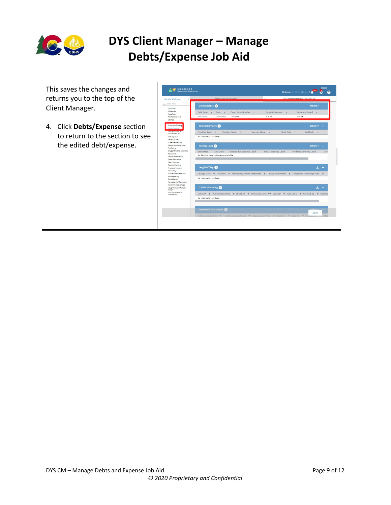

This saves the changes and returns you to the top of the Client Manager.

4. Click **Debts/Expense** section to return to the section to see the edited debt/expense.

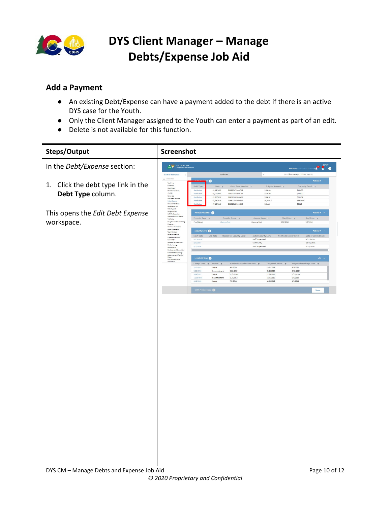

#### <span id="page-9-0"></span>**Add a Payment**

- An existing Debt/Expense can have a payment added to the debt if there is an active DYS case for the Youth.
- Only the Client Manager assigned to the Youth can enter a payment as part of an edit.
- Delete is not available for this function.

| Steps/Output                       | Screenshot                                                |                             |                          |                                      |                               |                         |                                     |                                   |
|------------------------------------|-----------------------------------------------------------|-----------------------------|--------------------------|--------------------------------------|-------------------------------|-------------------------|-------------------------------------|-----------------------------------|
| In the Debt/Expense section:       | , W<br>COLORADO<br>co<br><b>Penampage of Manual Ser</b>   |                             |                          |                                      |                               |                         | Welcome, Cgi Qa Test5 (Lo           | <b>CYFMT</b><br>$\mathbf{C}$<br>8 |
|                                    | <b>Back to Workspace</b>                                  |                             | Workspace                |                                      |                               |                         | DYS Client Manager 1713975, 1802379 |                                   |
|                                    | $\equiv$ Show Menu                                        |                             |                          |                                      |                               |                         |                                     | Actions v –                       |
| 1. Click the debt type link in the | Youth Info<br>Colleterals                                 |                             | G                        |                                      |                               |                         |                                     |                                   |
|                                    | Case Notes                                                | Debt Type                   | Date T                   | Court Case Number T                  |                               | Original Amount T       |                                     | Currently Owed T                  |
|                                    | <b>Permanency Goal</b><br>15 of 22                        | Restitution<br>Restitution  | 03/16/2020<br>03/22/2018 | D0032017JD000795<br>D0032017JD000795 |                               | \$100.00<br>\$128.00    | \$100.00<br>\$128.00                |                                   |
| Debt Type column.                  | Removals<br><b>Document Tracking</b>                      | Restitution                 | 07/19/2016               | D0692016JD000420                     |                               | \$288.57                | \$288.57                            |                                   |
|                                    | <b>Debta/Expertise</b>                                    | Restitution                 | 07/19/2016               | D0692016JD000044                     |                               | \$6,578.00              | \$6,578.00                          |                                   |
|                                    | <b>Nedical Providers</b><br>Sax Offender Info             | Restitution                 | 07/19/2016               | D0692016JD000395                     |                               | \$63.13                 | \$63.13                             |                                   |
| This opens the Edit Debt Expense   | Security Level<br>Length Of Stay<br>CJRA PreScreening     | <b>Medical Providers</b>    |                          |                                      |                               |                         |                                     | Actions = -                       |
|                                    | Assessment Instruments<br>Trafficking                     | Provider Type T             |                          | Provider Name <b>T</b>               | Agency Name T                 | Start Date              |                                     | End Date T                        |
| workspace.                         | Drug and Alcohol Screening<br>Placement                   | Psychiatrist                | Libecme Tzzd             |                                      | Cuewme Ulzt                   | 8/26/2016               |                                     | 9/8/2016                          |
|                                    | Service Authorization<br>Other Placements<br>Team Members | Security Level <sup>6</sup> |                          |                                      |                               |                         |                                     | Actions v -                       |
|                                    | Reviews/Meetings                                          | Start Date                  | <b>End Date</b>          | Reason for Security Level            | <b>Initial Security Level</b> | Modified Security Level |                                     | Date of Commitment                |
|                                    | Projected Transition<br>EDU Notify                        | 3/29/2018                   |                          |                                      | Staff Supervised              |                         |                                     | 3/22/2018                         |
|                                    | Notice of Services Action<br>Perole Hearings              | 2/6/2017                    |                          |                                      | Community                     |                         |                                     | 12/20/2016                        |
|                                    | Parole Status                                             | 8/3/2016                    |                          |                                      | Staff Supervised              |                         |                                     | 7/19/2016                         |
|                                    | Parole Level of Supervision<br>Commitment Discharge       |                             |                          |                                      |                               |                         |                                     |                                   |
|                                    | Assignment and Transfer<br>History<br>Non-Resident Youth  | Length Of Stay              |                          |                                      |                               |                         |                                     | 土一                                |
|                                    | Information                                               | Change Date T               | Reason <sub>T</sub>      | Mandatory Parole Start Date T        |                               | Projected Parole T      |                                     | Projected Discharge Date T        |
|                                    |                                                           | 2/17/2019                   | Escape                   | 9/5/2020                             |                               | 3/22/2018               | 3/5/2021                            |                                   |
|                                    |                                                           | 3/22/2018                   | Recommitment             | 3/22/2020                            |                               | 3/22/2019               | 9/22/2020                           |                                   |
|                                    |                                                           | 10/4/2017<br>12/20/2016     | Escape<br>Recommitment   | 11/25/2018<br>11/5/2018              |                               | 11/5/2016<br>11/5/2016  | 5/25/2019<br>5/5/2019               |                                   |
|                                    |                                                           | 9/16/2016                   | Escape                   | 7/2/2018                             |                               | 6/24/2016               | 1/2/2019                            |                                   |
|                                    |                                                           | <b>CJRA PreScreening</b>    |                          |                                      |                               |                         |                                     | Save                              |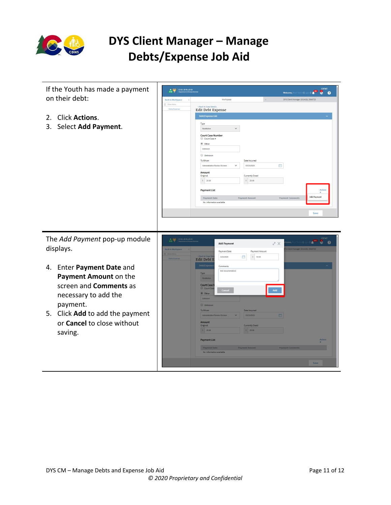

| If the Youth has made a payment                                                                                                                                                                        | $\begin{array}{c c c c c} \hline \textbf{A} & \textbf{0} & \textbf{0} & \textbf{0} \\ \hline \textbf{C} & \textbf{0} & \textbf{0} & \textbf{0} \\ \hline \textbf{0} & \textbf{0} & \textbf{0} & \textbf{0} \\ \hline \end{array}$                                                                              | <b>CYFMT</b><br>Welcome, Mod Test14 (Logout)<br>ö.<br>$\bullet$                                                                                                            |
|--------------------------------------------------------------------------------------------------------------------------------------------------------------------------------------------------------|----------------------------------------------------------------------------------------------------------------------------------------------------------------------------------------------------------------------------------------------------------------------------------------------------------------|----------------------------------------------------------------------------------------------------------------------------------------------------------------------------|
| on their debt:                                                                                                                                                                                         | Workspace<br><b>Back to Workspace</b>                                                                                                                                                                                                                                                                          | DYS Client Manager 1914426, 3566725                                                                                                                                        |
|                                                                                                                                                                                                        | $\equiv$ Show Menu<br>< Back to Case Details<br>Debts/Expenses<br>Edit Debt Expense                                                                                                                                                                                                                            |                                                                                                                                                                            |
| <b>Click Actions.</b><br>2.<br>Select Add Payment.<br>3.                                                                                                                                               | Debt/Expense List<br>Type<br>Restitution<br>$\check{~}$<br><b>Court Case Number</b><br>Court Case #<br>to Other<br>Unknown<br>Unknown<br>To Whom<br>Administrative Review Division<br>$\checkmark$<br>Amount<br>Original<br>$S$ 20.00<br><b>Payment List</b><br>Payment Date<br>No Information available       | Date Incurred<br>$\frac{1}{2}$<br>03/23/2020<br>Currently Owed<br>$5 \ 20.00$<br>Actions<br><b>Add Payment</b><br><b>Payment Amount</b><br><b>Payment Comments</b><br>Save |
| The Add Payment pop-up module<br>displays.                                                                                                                                                             | $\begin{array}{c c c c c} \hline \textbf{A} & \textbf{W} & \textbf{COLORADO} \\ \hline \textbf{CO} & \textbf{W} & \textbf{NOMADO} \end{array}$<br><b>Add Payment</b><br><b>Back to Workspace</b><br>Payment Date<br>Rank to Case De<br>曲<br>3/23/2020<br><b>Edit Debt E</b>                                    | <b>CYFMT</b><br>$\theta$<br>$\bullet$ $\bullet$<br>$\pm 1$ (i.<br>X <sup>n</sup><br>S Client Manager 1914426, 3566725<br>Payment Amount<br>$5 - 10.00$                     |
| Enter Payment Date and<br>4.<br>Payment Amount on the<br>screen and <b>Comments</b> as<br>necessary to add the<br>payment.<br>5. Click Add to add the payment<br>or Cancel to close without<br>saving. | Debt/Expens<br>Comments<br>test documentation<br>Type<br>Restitution<br><b>Court Case</b><br>Court Cas<br>Cancel<br><b>O</b> Other<br>Unknown<br><b>Unknown</b><br>To Whom<br>Administrative Re<br>Amount<br>Original<br>$S = 20.00$<br><b>Payment List</b><br><b>Payment Date</b><br>No information available | Add<br><b>Date Incurred</b><br>白<br>03/23/2020<br><b>Currently Owed</b><br>5 20.00<br><b>Action</b><br><b>Payment Amor</b><br>Save                                         |
|                                                                                                                                                                                                        |                                                                                                                                                                                                                                                                                                                |                                                                                                                                                                            |